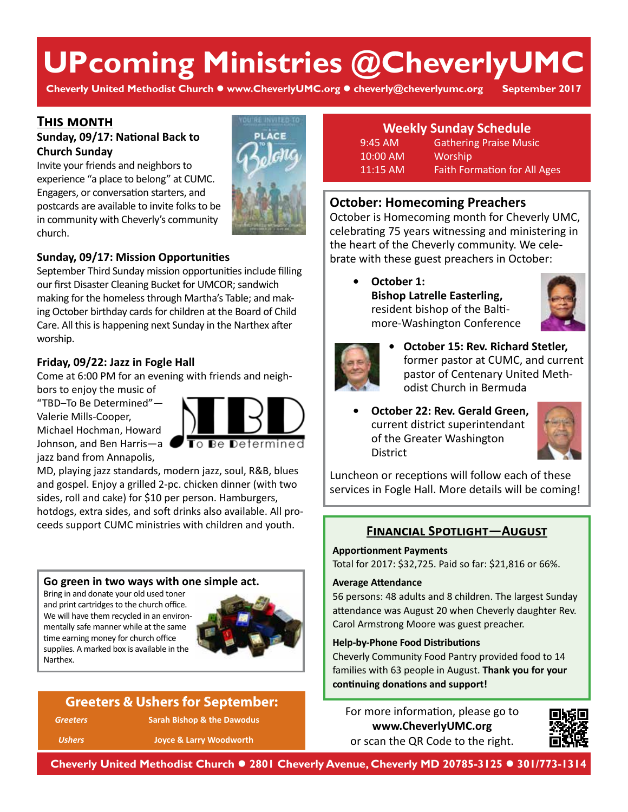# **UPcoming Ministries @CheverlyUMC**

**Cheverly United Methodist Church www.CheverlyUMC.org cheverly@cheverlyumc.org September 2017**

## **This month**

## **Sunday, 09/17: National Back to Church Sunday**

Invite your friends and neighbors to experience "a place to belong" at CUMC. Engagers, or conversation starters, and postcards are available to invite folks to be in community with Cheverly's community church.



## **Sunday, 09/17: Mission Opportunities**

September Third Sunday mission opportunities include filling our first Disaster Cleaning Bucket for UMCOR; sandwich making for the homeless through Martha's Table; and making October birthday cards for children at the Board of Child Care. All this is happening next Sunday in the Narthex after worship.

## **Friday, 09/22: Jazz in Fogle Hall**

Come at 6:00 PM for an evening with friends and neighbors to enjoy the music of

"TBD–To Be Determined"— Valerie Mills-Cooper, Michael Hochman, Howard Johnson, and Ben Harris—a jazz band from Annapolis,



MD, playing jazz standards, modern jazz, soul, R&B, blues and gospel. Enjoy a grilled 2-pc. chicken dinner (with two sides, roll and cake) for \$10 per person. Hamburgers, hotdogs, extra sides, and soft drinks also available. All proceeds support CUMC ministries with children and youth.

#### **Go green in two ways with one simple act.**

Bring in and donate your old used toner and print cartridges to the church office. We will have them recycled in an environmentally safe manner while at the same time earning money for church office supplies. A marked box is available in the Narthex.



# **Greeters & Ushers for September:**

*Greeters* **Sarah Bishop & the Dawodus**

*Ushers* **Joyce & Larry Woodworth**

# **Weekly Sunday Schedule**

9:45 AM Gathering Praise Music 10:00 AM Worship 11:15 AM Faith Formation for All Ages

## **October: Homecoming Preachers**

October is Homecoming month for Cheverly UMC, celebrating 75 years witnessing and ministering in the heart of the Cheverly community. We celebrate with these guest preachers in October:

> **• October 1: Bishop Latrelle Easterling,** resident bishop of the Baltimore-Washington Conference





- **• October 15: Rev. Richard Stetler,**  former pastor at CUMC, and current pastor of Centenary United Methodist Church in Bermuda
- **• October 22: Rev. Gerald Green,** current district superintendant of the Greater Washington **District**



Luncheon or receptions will follow each of these services in Fogle Hall. More details will be coming!

### **Financial Spotlight—August**

#### **Apportionment Payments**

Total for 2017: \$32,725. Paid so far: \$21,816 or 66%.

#### **Average Attendance**

56 persons: 48 adults and 8 children. The largest Sunday attendance was August 20 when Cheverly daughter Rev. Carol Armstrong Moore was guest preacher.

#### **Help-by-Phone Food Distributions**

Cheverly Community Food Pantry provided food to 14 families with 63 people in August. **Thank you for your continuing donations and support!** 

For more information, please go to **www.CheverlyUMC.org** or scan the QR Code to the right.



**Cheverly United Methodist Church 2801 Cheverly Avenue, Cheverly MD 20785-3125 301/773-1314**